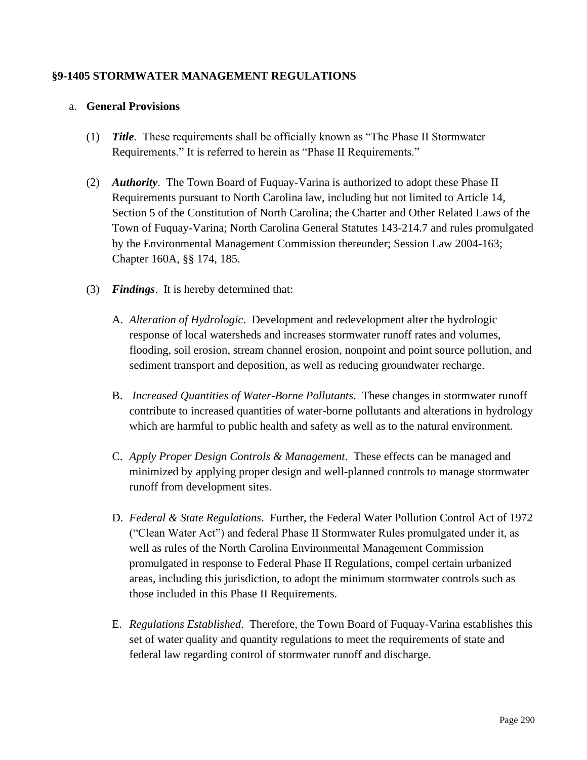## **§9-1405 STORMWATER MANAGEMENT REGULATIONS**

#### a. **General Provisions**

- (1) *Title*. These requirements shall be officially known as "The Phase II Stormwater Requirements." It is referred to herein as "Phase II Requirements."
- (2) *Authority*. The Town Board of Fuquay-Varina is authorized to adopt these Phase II Requirements pursuant to North Carolina law, including but not limited to Article 14, Section 5 of the Constitution of North Carolina; the Charter and Other Related Laws of the Town of Fuquay-Varina; North Carolina General Statutes 143-214.7 and rules promulgated by the Environmental Management Commission thereunder; Session Law 2004-163; Chapter 160A, §§ 174, 185.
- (3) *Findings*. It is hereby determined that:
	- A. *Alteration of Hydrologic*. Development and redevelopment alter the hydrologic response of local watersheds and increases stormwater runoff rates and volumes, flooding, soil erosion, stream channel erosion, nonpoint and point source pollution, and sediment transport and deposition, as well as reducing groundwater recharge.
	- B. *Increased Quantities of Water-Borne Pollutants*. These changes in stormwater runoff contribute to increased quantities of water-borne pollutants and alterations in hydrology which are harmful to public health and safety as well as to the natural environment.
	- C. *Apply Proper Design Controls & Management*. These effects can be managed and minimized by applying proper design and well-planned controls to manage stormwater runoff from development sites.
	- D. *Federal & State Regulations*. Further, the Federal Water Pollution Control Act of 1972 ("Clean Water Act") and federal Phase II Stormwater Rules promulgated under it, as well as rules of the North Carolina Environmental Management Commission promulgated in response to Federal Phase II Regulations, compel certain urbanized areas, including this jurisdiction, to adopt the minimum stormwater controls such as those included in this Phase II Requirements.
	- E. *Regulations Established*. Therefore, the Town Board of Fuquay-Varina establishes this set of water quality and quantity regulations to meet the requirements of state and federal law regarding control of stormwater runoff and discharge.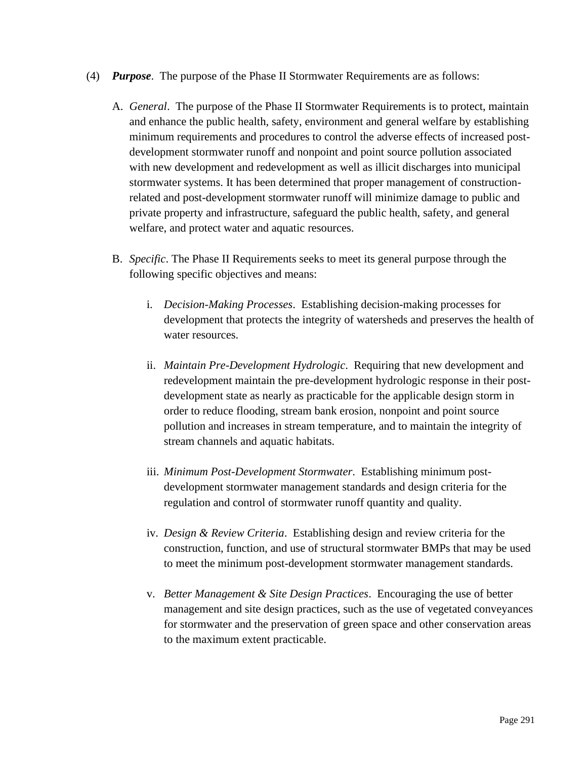- (4) *Purpose*. The purpose of the Phase II Stormwater Requirements are as follows:
	- A. *General*. The purpose of the Phase II Stormwater Requirements is to protect, maintain and enhance the public health, safety, environment and general welfare by establishing minimum requirements and procedures to control the adverse effects of increased postdevelopment stormwater runoff and nonpoint and point source pollution associated with new development and redevelopment as well as illicit discharges into municipal stormwater systems. It has been determined that proper management of constructionrelated and post-development stormwater runoff will minimize damage to public and private property and infrastructure, safeguard the public health, safety, and general welfare, and protect water and aquatic resources.
	- B. *Specific*. The Phase II Requirements seeks to meet its general purpose through the following specific objectives and means:
		- i. *Decision-Making Processes*. Establishing decision-making processes for development that protects the integrity of watersheds and preserves the health of water resources.
		- ii. *Maintain Pre-Development Hydrologic*. Requiring that new development and redevelopment maintain the pre-development hydrologic response in their postdevelopment state as nearly as practicable for the applicable design storm in order to reduce flooding, stream bank erosion, nonpoint and point source pollution and increases in stream temperature, and to maintain the integrity of stream channels and aquatic habitats.
		- iii. *Minimum Post-Development Stormwater*. Establishing minimum postdevelopment stormwater management standards and design criteria for the regulation and control of stormwater runoff quantity and quality.
		- iv. *Design & Review Criteria*. Establishing design and review criteria for the construction, function, and use of structural stormwater BMPs that may be used to meet the minimum post-development stormwater management standards.
		- v. *Better Management & Site Design Practices*. Encouraging the use of better management and site design practices, such as the use of vegetated conveyances for stormwater and the preservation of green space and other conservation areas to the maximum extent practicable.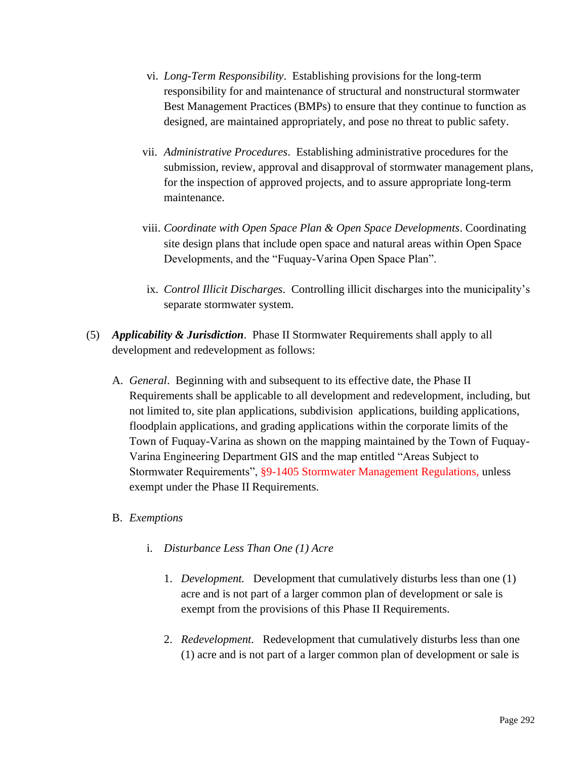- vi. *Long-Term Responsibility*. Establishing provisions for the long-term responsibility for and maintenance of structural and nonstructural stormwater Best Management Practices (BMPs) to ensure that they continue to function as designed, are maintained appropriately, and pose no threat to public safety.
- vii. *Administrative Procedures*. Establishing administrative procedures for the submission, review, approval and disapproval of stormwater management plans, for the inspection of approved projects, and to assure appropriate long-term maintenance.
- viii. *Coordinate with Open Space Plan & Open Space Developments*. Coordinating site design plans that include open space and natural areas within Open Space Developments, and the "Fuquay-Varina Open Space Plan".
- ix. *Control Illicit Discharges*. Controlling illicit discharges into the municipality's separate stormwater system.
- (5) *Applicability & Jurisdiction*. Phase II Stormwater Requirements shall apply to all development and redevelopment as follows:
	- A. *General*. Beginning with and subsequent to its effective date, the Phase II Requirements shall be applicable to all development and redevelopment, including, but not limited to, site plan applications, subdivision applications, building applications, floodplain applications, and grading applications within the corporate limits of the Town of Fuquay-Varina as shown on the mapping maintained by the Town of Fuquay-Varina Engineering Department GIS and the map entitled "Areas Subject to Stormwater Requirements", §9-1405 Stormwater Management Regulations, unless exempt under the Phase II Requirements.

## B. *Exemptions*

- i. *Disturbance Less Than One (1) Acre*
	- 1. *Development.* Development that cumulatively disturbs less than one (1) acre and is not part of a larger common plan of development or sale is exempt from the provisions of this Phase II Requirements.
	- 2. *Redevelopment.* Redevelopment that cumulatively disturbs less than one (1) acre and is not part of a larger common plan of development or sale is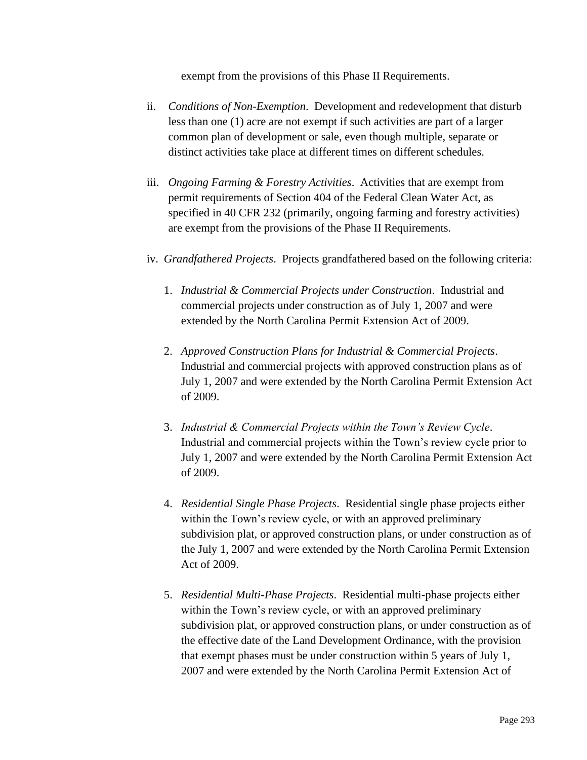exempt from the provisions of this Phase II Requirements.

- ii. *Conditions of Non-Exemption*. Development and redevelopment that disturb less than one (1) acre are not exempt if such activities are part of a larger common plan of development or sale, even though multiple, separate or distinct activities take place at different times on different schedules.
- iii. *Ongoing Farming & Forestry Activities*. Activities that are exempt from permit requirements of Section 404 of the Federal Clean Water Act, as specified in 40 CFR 232 (primarily, ongoing farming and forestry activities) are exempt from the provisions of the Phase II Requirements.
- iv. *Grandfathered Projects*. Projects grandfathered based on the following criteria:
	- 1. *Industrial & Commercial Projects under Construction*. Industrial and commercial projects under construction as of July 1, 2007 and were extended by the North Carolina Permit Extension Act of 2009.
	- 2. *Approved Construction Plans for Industrial & Commercial Projects*. Industrial and commercial projects with approved construction plans as of July 1, 2007 and were extended by the North Carolina Permit Extension Act of 2009.
	- 3. *Industrial & Commercial Projects within the Town's Review Cycle*. Industrial and commercial projects within the Town's review cycle prior to July 1, 2007 and were extended by the North Carolina Permit Extension Act of 2009.
	- 4. *Residential Single Phase Projects*. Residential single phase projects either within the Town's review cycle, or with an approved preliminary subdivision plat, or approved construction plans, or under construction as of the July 1, 2007 and were extended by the North Carolina Permit Extension Act of 2009.
	- 5. *Residential Multi-Phase Projects*. Residential multi-phase projects either within the Town's review cycle, or with an approved preliminary subdivision plat, or approved construction plans, or under construction as of the effective date of the Land Development Ordinance, with the provision that exempt phases must be under construction within 5 years of July 1, 2007 and were extended by the North Carolina Permit Extension Act of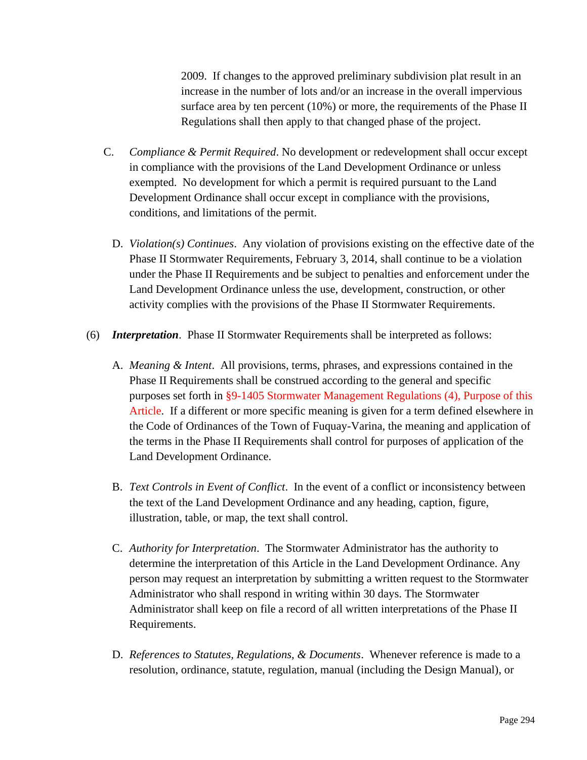2009. If changes to the approved preliminary subdivision plat result in an increase in the number of lots and/or an increase in the overall impervious surface area by ten percent (10%) or more, the requirements of the Phase II Regulations shall then apply to that changed phase of the project.

- C. *Compliance & Permit Required*. No development or redevelopment shall occur except in compliance with the provisions of the Land Development Ordinance or unless exempted. No development for which a permit is required pursuant to the Land Development Ordinance shall occur except in compliance with the provisions, conditions, and limitations of the permit.
	- D. *Violation(s) Continues*. Any violation of provisions existing on the effective date of the Phase II Stormwater Requirements, February 3, 2014, shall continue to be a violation under the Phase II Requirements and be subject to penalties and enforcement under the Land Development Ordinance unless the use, development, construction, or other activity complies with the provisions of the Phase II Stormwater Requirements.
- (6) *Interpretation*. Phase II Stormwater Requirements shall be interpreted as follows:
	- A. *Meaning & Intent*. All provisions, terms, phrases, and expressions contained in the Phase II Requirements shall be construed according to the general and specific purposes set forth in §9-1405 Stormwater Management Regulations (4), Purpose of this Article. If a different or more specific meaning is given for a term defined elsewhere in the Code of Ordinances of the Town of Fuquay-Varina, the meaning and application of the terms in the Phase II Requirements shall control for purposes of application of the Land Development Ordinance.
	- B. *Text Controls in Event of Conflict*. In the event of a conflict or inconsistency between the text of the Land Development Ordinance and any heading, caption, figure, illustration, table, or map, the text shall control.
	- C. *Authority for Interpretation*. The Stormwater Administrator has the authority to determine the interpretation of this Article in the Land Development Ordinance. Any person may request an interpretation by submitting a written request to the Stormwater Administrator who shall respond in writing within 30 days. The Stormwater Administrator shall keep on file a record of all written interpretations of the Phase II Requirements.
	- D. *References to Statutes, Regulations, & Documents*. Whenever reference is made to a resolution, ordinance, statute, regulation, manual (including the Design Manual), or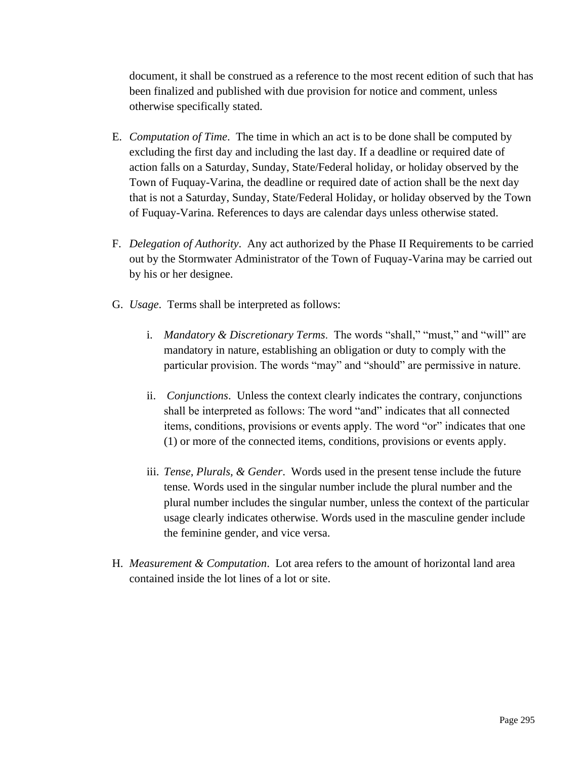document, it shall be construed as a reference to the most recent edition of such that has been finalized and published with due provision for notice and comment, unless otherwise specifically stated.

- E. *Computation of Time*. The time in which an act is to be done shall be computed by excluding the first day and including the last day. If a deadline or required date of action falls on a Saturday, Sunday, State/Federal holiday, or holiday observed by the Town of Fuquay-Varina, the deadline or required date of action shall be the next day that is not a Saturday, Sunday, State/Federal Holiday, or holiday observed by the Town of Fuquay-Varina. References to days are calendar days unless otherwise stated.
- F. *Delegation of Authority*. Any act authorized by the Phase II Requirements to be carried out by the Stormwater Administrator of the Town of Fuquay-Varina may be carried out by his or her designee.
- G. *Usage*. Terms shall be interpreted as follows:
	- i. *Mandatory & Discretionary Terms*. The words "shall," "must," and "will" are mandatory in nature, establishing an obligation or duty to comply with the particular provision. The words "may" and "should" are permissive in nature.
	- ii. *Conjunctions*. Unless the context clearly indicates the contrary, conjunctions shall be interpreted as follows: The word "and" indicates that all connected items, conditions, provisions or events apply. The word "or" indicates that one (1) or more of the connected items, conditions, provisions or events apply.
	- iii. *Tense, Plurals, & Gender*. Words used in the present tense include the future tense. Words used in the singular number include the plural number and the plural number includes the singular number, unless the context of the particular usage clearly indicates otherwise. Words used in the masculine gender include the feminine gender, and vice versa.
- H. *Measurement & Computation*. Lot area refers to the amount of horizontal land area contained inside the lot lines of a lot or site.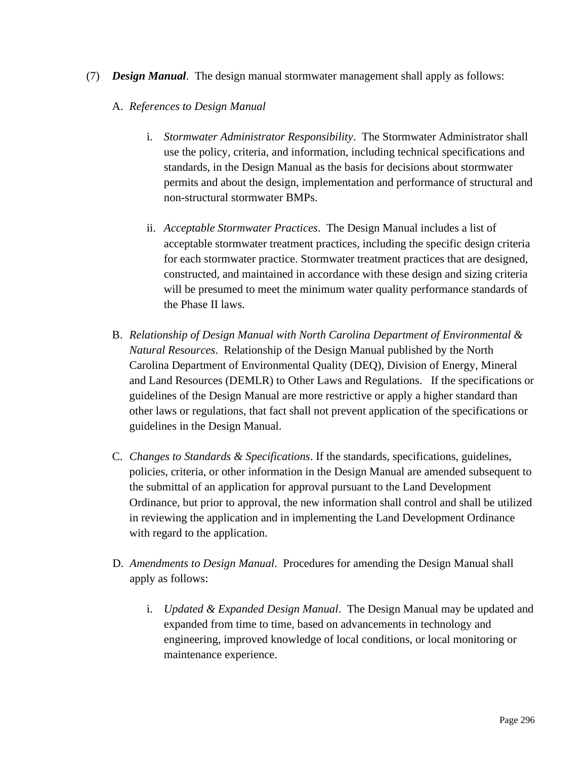- (7) *Design Manual*. The design manual stormwater management shall apply as follows:
	- A. *References to Design Manual*
		- i. *Stormwater Administrator Responsibility*. The Stormwater Administrator shall use the policy, criteria, and information, including technical specifications and standards, in the Design Manual as the basis for decisions about stormwater permits and about the design, implementation and performance of structural and non-structural stormwater BMPs.
		- ii. *Acceptable Stormwater Practices*. The Design Manual includes a list of acceptable stormwater treatment practices, including the specific design criteria for each stormwater practice. Stormwater treatment practices that are designed, constructed, and maintained in accordance with these design and sizing criteria will be presumed to meet the minimum water quality performance standards of the Phase II laws.
	- B. *Relationship of Design Manual with North Carolina Department of Environmental & Natural Resources*. Relationship of the Design Manual published by the North Carolina Department of Environmental Quality (DEQ), Division of Energy, Mineral and Land Resources (DEMLR) to Other Laws and Regulations. If the specifications or guidelines of the Design Manual are more restrictive or apply a higher standard than other laws or regulations, that fact shall not prevent application of the specifications or guidelines in the Design Manual.
	- C. *Changes to Standards & Specifications*. If the standards, specifications, guidelines, policies, criteria, or other information in the Design Manual are amended subsequent to the submittal of an application for approval pursuant to the Land Development Ordinance, but prior to approval, the new information shall control and shall be utilized in reviewing the application and in implementing the Land Development Ordinance with regard to the application.
	- D. *Amendments to Design Manual*. Procedures for amending the Design Manual shall apply as follows:
		- i. *Updated & Expanded Design Manual*. The Design Manual may be updated and expanded from time to time, based on advancements in technology and engineering, improved knowledge of local conditions, or local monitoring or maintenance experience.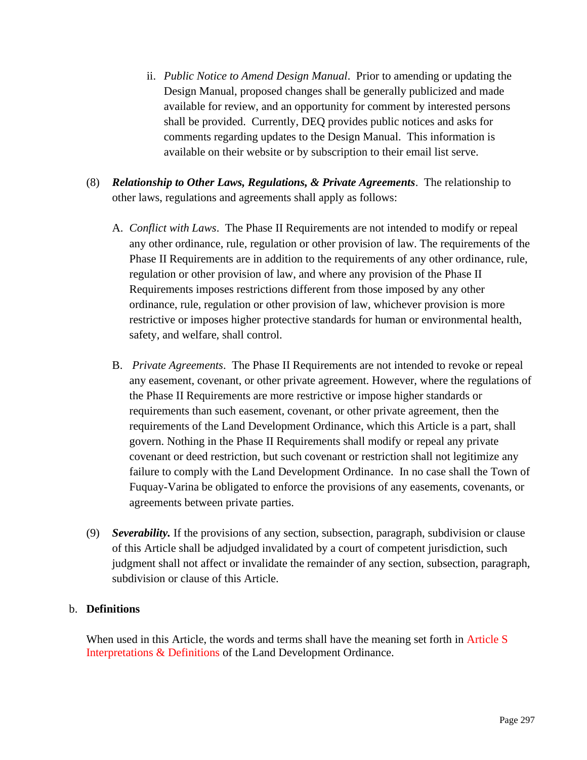- ii. *Public Notice to Amend Design Manual*. Prior to amending or updating the Design Manual, proposed changes shall be generally publicized and made available for review, and an opportunity for comment by interested persons shall be provided. Currently, DEQ provides public notices and asks for comments regarding updates to the Design Manual. This information is available on their website or by subscription to their email list serve.
- (8) *Relationship to Other Laws, Regulations, & Private Agreements*. The relationship to other laws, regulations and agreements shall apply as follows:
	- A. *Conflict with Laws*. The Phase II Requirements are not intended to modify or repeal any other ordinance, rule, regulation or other provision of law. The requirements of the Phase II Requirements are in addition to the requirements of any other ordinance, rule, regulation or other provision of law, and where any provision of the Phase II Requirements imposes restrictions different from those imposed by any other ordinance, rule, regulation or other provision of law, whichever provision is more restrictive or imposes higher protective standards for human or environmental health, safety, and welfare, shall control.
	- B. *Private Agreements*. The Phase II Requirements are not intended to revoke or repeal any easement, covenant, or other private agreement. However, where the regulations of the Phase II Requirements are more restrictive or impose higher standards or requirements than such easement, covenant, or other private agreement, then the requirements of the Land Development Ordinance, which this Article is a part, shall govern. Nothing in the Phase II Requirements shall modify or repeal any private covenant or deed restriction, but such covenant or restriction shall not legitimize any failure to comply with the Land Development Ordinance. In no case shall the Town of Fuquay-Varina be obligated to enforce the provisions of any easements, covenants, or agreements between private parties.
- (9) *Severability.* If the provisions of any section, subsection, paragraph, subdivision or clause of this Article shall be adjudged invalidated by a court of competent jurisdiction, such judgment shall not affect or invalidate the remainder of any section, subsection, paragraph, subdivision or clause of this Article.

## b. **Definitions**

When used in this Article, the words and terms shall have the meaning set forth in Article S Interpretations & Definitions of the Land Development Ordinance.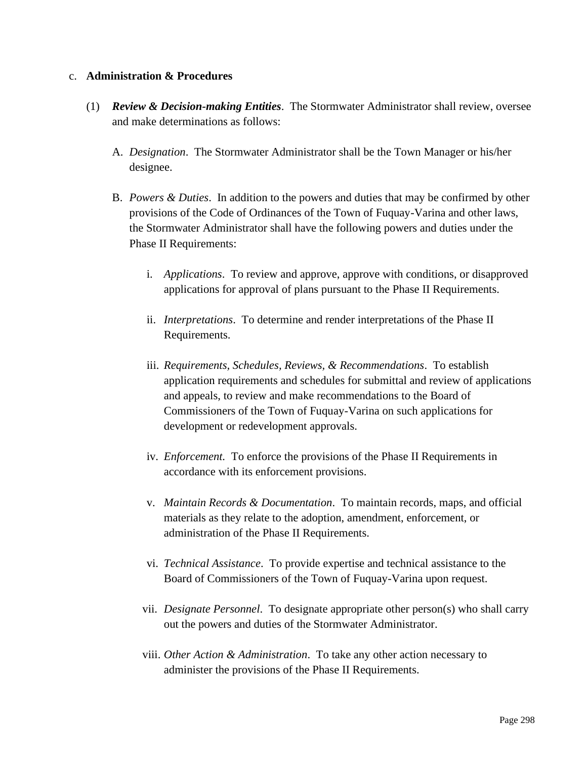#### c. **Administration & Procedures**

- (1) *Review & Decision-making Entities*. The Stormwater Administrator shall review, oversee and make determinations as follows:
	- A. *Designation*. The Stormwater Administrator shall be the Town Manager or his/her designee.
	- B. *Powers & Duties*. In addition to the powers and duties that may be confirmed by other provisions of the Code of Ordinances of the Town of Fuquay-Varina and other laws, the Stormwater Administrator shall have the following powers and duties under the Phase II Requirements:
		- i. *Applications*. To review and approve, approve with conditions, or disapproved applications for approval of plans pursuant to the Phase II Requirements.
		- ii. *Interpretations*. To determine and render interpretations of the Phase II Requirements.
		- iii. *Requirements, Schedules, Reviews, & Recommendations*. To establish application requirements and schedules for submittal and review of applications and appeals, to review and make recommendations to the Board of Commissioners of the Town of Fuquay-Varina on such applications for development or redevelopment approvals.
		- iv. *Enforcement.* To enforce the provisions of the Phase II Requirements in accordance with its enforcement provisions.
		- v. *Maintain Records & Documentation*. To maintain records, maps, and official materials as they relate to the adoption, amendment, enforcement, or administration of the Phase II Requirements.
		- vi. *Technical Assistance*. To provide expertise and technical assistance to the Board of Commissioners of the Town of Fuquay-Varina upon request.
		- vii. *Designate Personnel*. To designate appropriate other person(s) who shall carry out the powers and duties of the Stormwater Administrator.
		- viii. *Other Action & Administration*. To take any other action necessary to administer the provisions of the Phase II Requirements.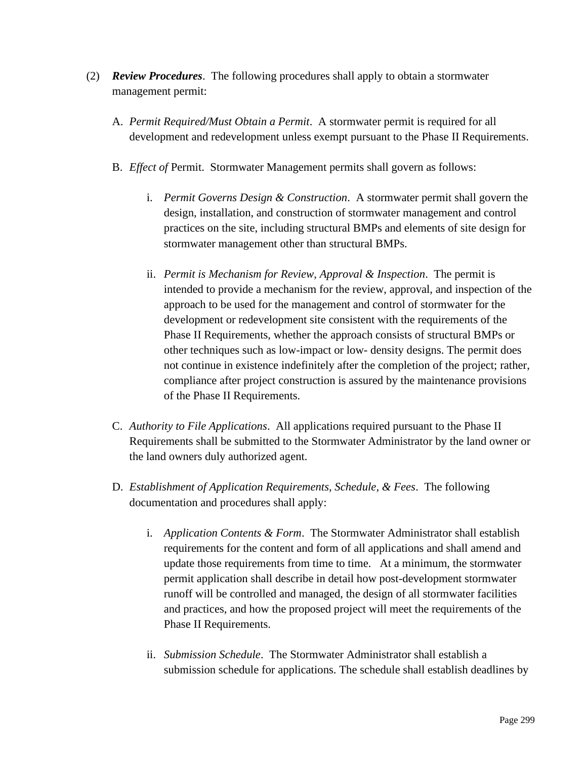- (2) *Review Procedures*. The following procedures shall apply to obtain a stormwater management permit:
	- A. *Permit Required/Must Obtain a Permit*. A stormwater permit is required for all development and redevelopment unless exempt pursuant to the Phase II Requirements.
	- B. *Effect of* Permit. Stormwater Management permits shall govern as follows:
		- i. *Permit Governs Design & Construction*. A stormwater permit shall govern the design, installation, and construction of stormwater management and control practices on the site, including structural BMPs and elements of site design for stormwater management other than structural BMPs.
		- ii. *Permit is Mechanism for Review, Approval & Inspection*. The permit is intended to provide a mechanism for the review, approval, and inspection of the approach to be used for the management and control of stormwater for the development or redevelopment site consistent with the requirements of the Phase II Requirements, whether the approach consists of structural BMPs or other techniques such as low-impact or low- density designs. The permit does not continue in existence indefinitely after the completion of the project; rather, compliance after project construction is assured by the maintenance provisions of the Phase II Requirements.
	- C. *Authority to File Applications*. All applications required pursuant to the Phase II Requirements shall be submitted to the Stormwater Administrator by the land owner or the land owners duly authorized agent.
	- D. *Establishment of Application Requirements, Schedule, & Fees*. The following documentation and procedures shall apply:
		- i. *Application Contents & Form*. The Stormwater Administrator shall establish requirements for the content and form of all applications and shall amend and update those requirements from time to time. At a minimum, the stormwater permit application shall describe in detail how post-development stormwater runoff will be controlled and managed, the design of all stormwater facilities and practices, and how the proposed project will meet the requirements of the Phase II Requirements.
		- ii. *Submission Schedule*. The Stormwater Administrator shall establish a submission schedule for applications. The schedule shall establish deadlines by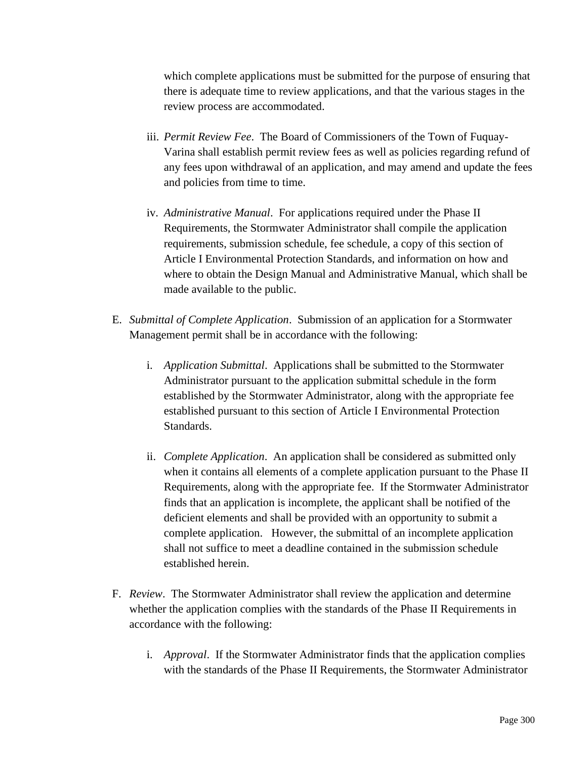which complete applications must be submitted for the purpose of ensuring that there is adequate time to review applications, and that the various stages in the review process are accommodated.

- iii. *Permit Review Fee*. The Board of Commissioners of the Town of Fuquay-Varina shall establish permit review fees as well as policies regarding refund of any fees upon withdrawal of an application, and may amend and update the fees and policies from time to time.
- iv. *Administrative Manual*. For applications required under the Phase II Requirements, the Stormwater Administrator shall compile the application requirements, submission schedule, fee schedule, a copy of this section of Article I Environmental Protection Standards, and information on how and where to obtain the Design Manual and Administrative Manual, which shall be made available to the public.
- E. *Submittal of Complete Application*. Submission of an application for a Stormwater Management permit shall be in accordance with the following:
	- i. *Application Submittal*. Applications shall be submitted to the Stormwater Administrator pursuant to the application submittal schedule in the form established by the Stormwater Administrator, along with the appropriate fee established pursuant to this section of Article I Environmental Protection Standards.
	- ii. *Complete Application*. An application shall be considered as submitted only when it contains all elements of a complete application pursuant to the Phase II Requirements, along with the appropriate fee. If the Stormwater Administrator finds that an application is incomplete, the applicant shall be notified of the deficient elements and shall be provided with an opportunity to submit a complete application. However, the submittal of an incomplete application shall not suffice to meet a deadline contained in the submission schedule established herein.
- F. *Review*. The Stormwater Administrator shall review the application and determine whether the application complies with the standards of the Phase II Requirements in accordance with the following:
	- i. *Approval*. If the Stormwater Administrator finds that the application complies with the standards of the Phase II Requirements, the Stormwater Administrator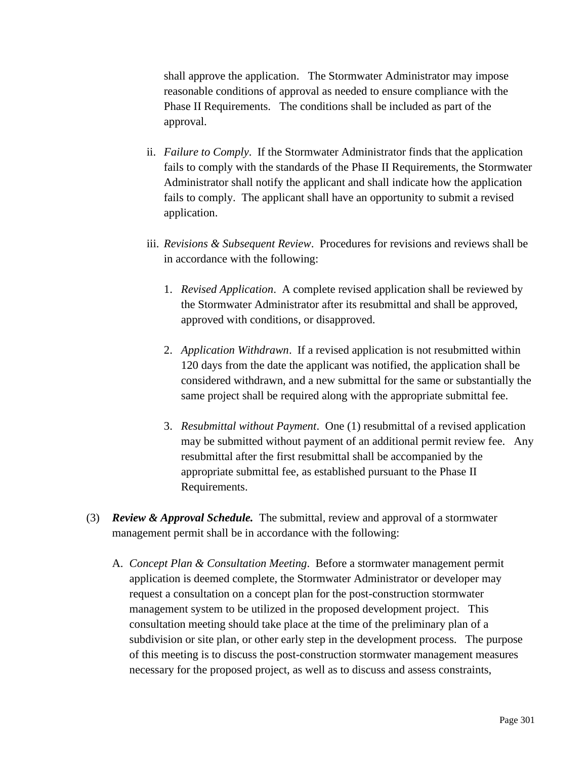shall approve the application. The Stormwater Administrator may impose reasonable conditions of approval as needed to ensure compliance with the Phase II Requirements. The conditions shall be included as part of the approval.

- ii. *Failure to Comply*. If the Stormwater Administrator finds that the application fails to comply with the standards of the Phase II Requirements, the Stormwater Administrator shall notify the applicant and shall indicate how the application fails to comply. The applicant shall have an opportunity to submit a revised application.
- iii. *Revisions & Subsequent Review*. Procedures for revisions and reviews shall be in accordance with the following:
	- 1. *Revised Application*. A complete revised application shall be reviewed by the Stormwater Administrator after its resubmittal and shall be approved, approved with conditions, or disapproved.
	- 2. *Application Withdrawn*. If a revised application is not resubmitted within 120 days from the date the applicant was notified, the application shall be considered withdrawn, and a new submittal for the same or substantially the same project shall be required along with the appropriate submittal fee.
	- 3. *Resubmittal without Payment*. One (1) resubmittal of a revised application may be submitted without payment of an additional permit review fee. Any resubmittal after the first resubmittal shall be accompanied by the appropriate submittal fee, as established pursuant to the Phase II Requirements.
- (3) *Review & Approval Schedule.* The submittal, review and approval of a stormwater management permit shall be in accordance with the following:
	- A. *Concept Plan & Consultation Meeting*. Before a stormwater management permit application is deemed complete, the Stormwater Administrator or developer may request a consultation on a concept plan for the post-construction stormwater management system to be utilized in the proposed development project. This consultation meeting should take place at the time of the preliminary plan of a subdivision or site plan, or other early step in the development process. The purpose of this meeting is to discuss the post-construction stormwater management measures necessary for the proposed project, as well as to discuss and assess constraints,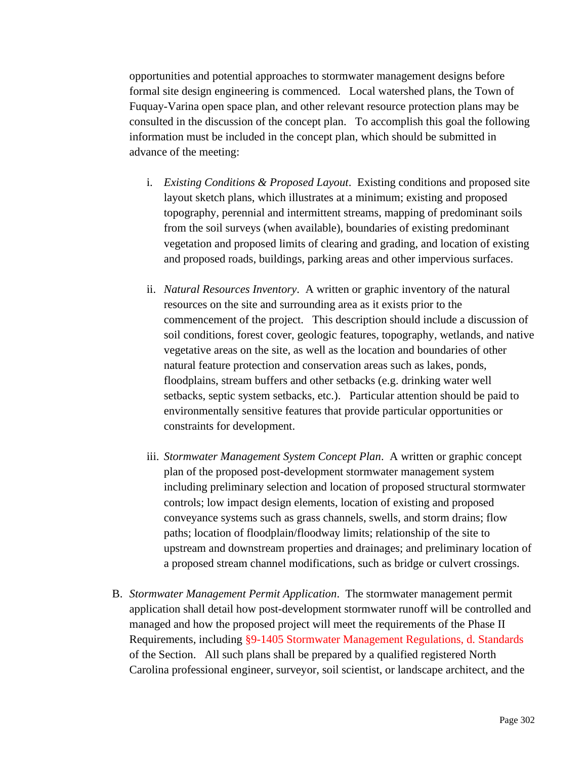opportunities and potential approaches to stormwater management designs before formal site design engineering is commenced. Local watershed plans, the Town of Fuquay-Varina open space plan, and other relevant resource protection plans may be consulted in the discussion of the concept plan. To accomplish this goal the following information must be included in the concept plan, which should be submitted in advance of the meeting:

- i. *Existing Conditions & Proposed Layout*. Existing conditions and proposed site layout sketch plans, which illustrates at a minimum; existing and proposed topography, perennial and intermittent streams, mapping of predominant soils from the soil surveys (when available), boundaries of existing predominant vegetation and proposed limits of clearing and grading, and location of existing and proposed roads, buildings, parking areas and other impervious surfaces.
- ii. *Natural Resources Inventory*. A written or graphic inventory of the natural resources on the site and surrounding area as it exists prior to the commencement of the project. This description should include a discussion of soil conditions, forest cover, geologic features, topography, wetlands, and native vegetative areas on the site, as well as the location and boundaries of other natural feature protection and conservation areas such as lakes, ponds, floodplains, stream buffers and other setbacks (e.g. drinking water well setbacks, septic system setbacks, etc.). Particular attention should be paid to environmentally sensitive features that provide particular opportunities or constraints for development.
- iii. *Stormwater Management System Concept Plan*. A written or graphic concept plan of the proposed post-development stormwater management system including preliminary selection and location of proposed structural stormwater controls; low impact design elements, location of existing and proposed conveyance systems such as grass channels, swells, and storm drains; flow paths; location of floodplain/floodway limits; relationship of the site to upstream and downstream properties and drainages; and preliminary location of a proposed stream channel modifications, such as bridge or culvert crossings.
- B. *Stormwater Management Permit Application*. The stormwater management permit application shall detail how post-development stormwater runoff will be controlled and managed and how the proposed project will meet the requirements of the Phase II Requirements, including §9-1405 Stormwater Management Regulations, d. Standards of the Section. All such plans shall be prepared by a qualified registered North Carolina professional engineer, surveyor, soil scientist, or landscape architect, and the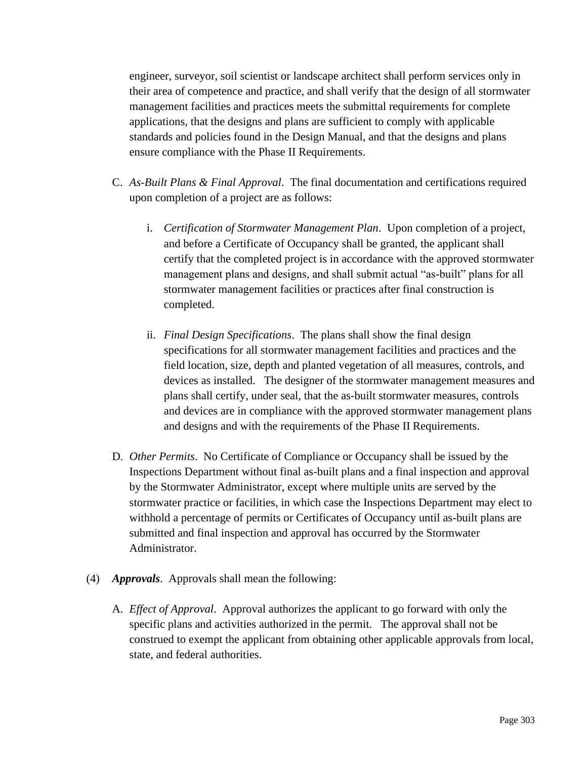engineer, surveyor, soil scientist or landscape architect shall perform services only in their area of competence and practice, and shall verify that the design of all stormwater management facilities and practices meets the submittal requirements for complete applications, that the designs and plans are sufficient to comply with applicable standards and policies found in the Design Manual, and that the designs and plans ensure compliance with the Phase II Requirements.

- C. *As-Built Plans & Final Approval*. The final documentation and certifications required upon completion of a project are as follows:
	- i. *Certification of Stormwater Management Plan*. Upon completion of a project, and before a Certificate of Occupancy shall be granted, the applicant shall certify that the completed project is in accordance with the approved stormwater management plans and designs, and shall submit actual "as-built" plans for all stormwater management facilities or practices after final construction is completed.
	- ii. *Final Design Specifications*. The plans shall show the final design specifications for all stormwater management facilities and practices and the field location, size, depth and planted vegetation of all measures, controls, and devices as installed. The designer of the stormwater management measures and plans shall certify, under seal, that the as-built stormwater measures, controls and devices are in compliance with the approved stormwater management plans and designs and with the requirements of the Phase II Requirements.
- D. *Other Permits*. No Certificate of Compliance or Occupancy shall be issued by the Inspections Department without final as-built plans and a final inspection and approval by the Stormwater Administrator, except where multiple units are served by the stormwater practice or facilities, in which case the Inspections Department may elect to withhold a percentage of permits or Certificates of Occupancy until as-built plans are submitted and final inspection and approval has occurred by the Stormwater Administrator.
- (4) *Approvals*. Approvals shall mean the following:
	- A. *Effect of Approval*. Approval authorizes the applicant to go forward with only the specific plans and activities authorized in the permit. The approval shall not be construed to exempt the applicant from obtaining other applicable approvals from local, state, and federal authorities.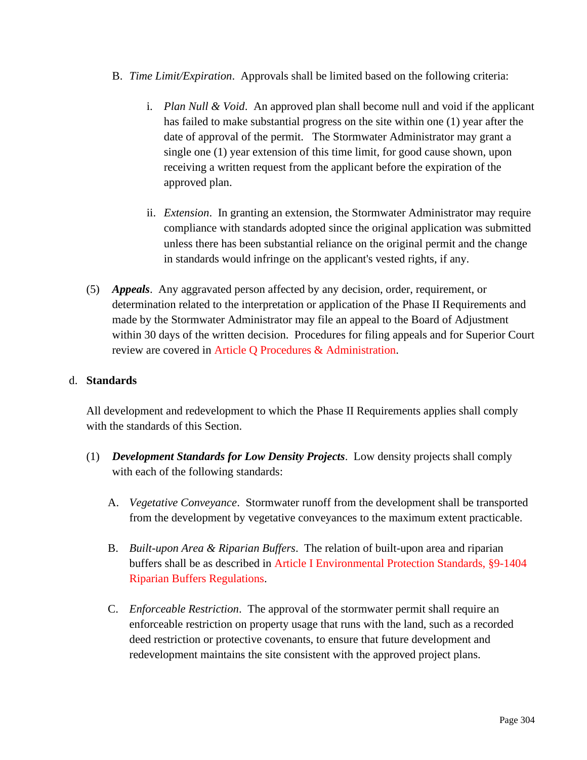- B. *Time Limit/Expiration*. Approvals shall be limited based on the following criteria:
	- i. *Plan Null & Void*. An approved plan shall become null and void if the applicant has failed to make substantial progress on the site within one (1) year after the date of approval of the permit. The Stormwater Administrator may grant a single one (1) year extension of this time limit, for good cause shown, upon receiving a written request from the applicant before the expiration of the approved plan.
	- ii. *Extension*. In granting an extension, the Stormwater Administrator may require compliance with standards adopted since the original application was submitted unless there has been substantial reliance on the original permit and the change in standards would infringe on the applicant's vested rights, if any.
- (5) *Appeals*. Any aggravated person affected by any decision, order, requirement, or determination related to the interpretation or application of the Phase II Requirements and made by the Stormwater Administrator may file an appeal to the Board of Adjustment within 30 days of the written decision. Procedures for filing appeals and for Superior Court review are covered in Article Q Procedures & Administration.

### d. **Standards**

All development and redevelopment to which the Phase II Requirements applies shall comply with the standards of this Section.

- (1) *Development Standards for Low Density Projects*. Low density projects shall comply with each of the following standards:
	- A. *Vegetative Conveyance*. Stormwater runoff from the development shall be transported from the development by vegetative conveyances to the maximum extent practicable.
	- B. *Built-upon Area & Riparian Buffers*. The relation of built-upon area and riparian buffers shall be as described in Article I Environmental Protection Standards, §9-1404 Riparian Buffers Regulations.
	- C. *Enforceable Restriction*. The approval of the stormwater permit shall require an enforceable restriction on property usage that runs with the land, such as a recorded deed restriction or protective covenants, to ensure that future development and redevelopment maintains the site consistent with the approved project plans.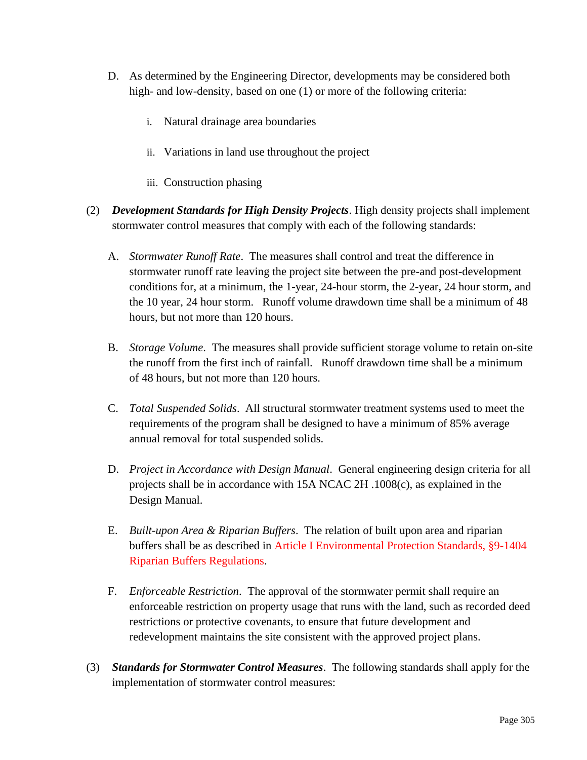- D. As determined by the Engineering Director, developments may be considered both high- and low-density, based on one (1) or more of the following criteria:
	- i. Natural drainage area boundaries
	- ii. Variations in land use throughout the project
	- iii. Construction phasing
- (2) *Development Standards for High Density Projects*. High density projects shall implement stormwater control measures that comply with each of the following standards:
	- A. *Stormwater Runoff Rate*. The measures shall control and treat the difference in stormwater runoff rate leaving the project site between the pre-and post-development conditions for, at a minimum, the 1-year, 24-hour storm, the 2-year, 24 hour storm, and the 10 year, 24 hour storm. Runoff volume drawdown time shall be a minimum of 48 hours, but not more than 120 hours.
	- B. *Storage Volume*. The measures shall provide sufficient storage volume to retain on-site the runoff from the first inch of rainfall. Runoff drawdown time shall be a minimum of 48 hours, but not more than 120 hours.
	- C. *Total Suspended Solids*. All structural stormwater treatment systems used to meet the requirements of the program shall be designed to have a minimum of 85% average annual removal for total suspended solids.
	- D. *Project in Accordance with Design Manual*. General engineering design criteria for all projects shall be in accordance with 15A NCAC 2H .1008(c), as explained in the Design Manual.
	- E. *Built-upon Area & Riparian Buffers*. The relation of built upon area and riparian buffers shall be as described in Article I Environmental Protection Standards, §9-1404 Riparian Buffers Regulations.
	- F. *Enforceable Restriction*. The approval of the stormwater permit shall require an enforceable restriction on property usage that runs with the land, such as recorded deed restrictions or protective covenants, to ensure that future development and redevelopment maintains the site consistent with the approved project plans.
- (3) *Standards for Stormwater Control Measures*. The following standards shall apply for the implementation of stormwater control measures: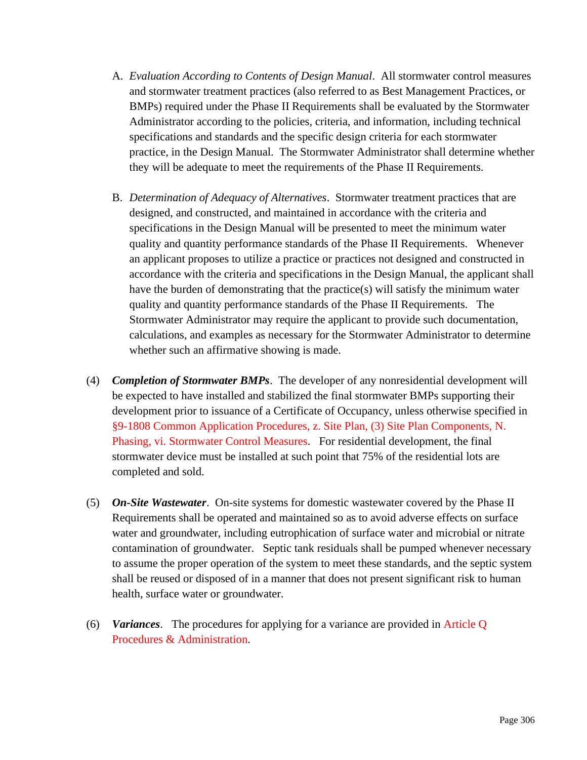- A. *Evaluation According to Contents of Design Manual*. All stormwater control measures and stormwater treatment practices (also referred to as Best Management Practices, or BMPs) required under the Phase II Requirements shall be evaluated by the Stormwater Administrator according to the policies, criteria, and information, including technical specifications and standards and the specific design criteria for each stormwater practice, in the Design Manual. The Stormwater Administrator shall determine whether they will be adequate to meet the requirements of the Phase II Requirements.
- B. *Determination of Adequacy of Alternatives*. Stormwater treatment practices that are designed, and constructed, and maintained in accordance with the criteria and specifications in the Design Manual will be presented to meet the minimum water quality and quantity performance standards of the Phase II Requirements. Whenever an applicant proposes to utilize a practice or practices not designed and constructed in accordance with the criteria and specifications in the Design Manual, the applicant shall have the burden of demonstrating that the practice(s) will satisfy the minimum water quality and quantity performance standards of the Phase II Requirements. The Stormwater Administrator may require the applicant to provide such documentation, calculations, and examples as necessary for the Stormwater Administrator to determine whether such an affirmative showing is made.
- (4) *Completion of Stormwater BMPs*. The developer of any nonresidential development will be expected to have installed and stabilized the final stormwater BMPs supporting their development prior to issuance of a Certificate of Occupancy, unless otherwise specified in §9-1808 Common Application Procedures, z. Site Plan, (3) Site Plan Components, N. Phasing, vi. Stormwater Control Measures. For residential development, the final stormwater device must be installed at such point that 75% of the residential lots are completed and sold.
- (5) *On-Site Wastewater*. On-site systems for domestic wastewater covered by the Phase II Requirements shall be operated and maintained so as to avoid adverse effects on surface water and groundwater, including eutrophication of surface water and microbial or nitrate contamination of groundwater. Septic tank residuals shall be pumped whenever necessary to assume the proper operation of the system to meet these standards, and the septic system shall be reused or disposed of in a manner that does not present significant risk to human health, surface water or groundwater.
- (6) *Variances*. The procedures for applying for a variance are provided in Article Q Procedures & Administration.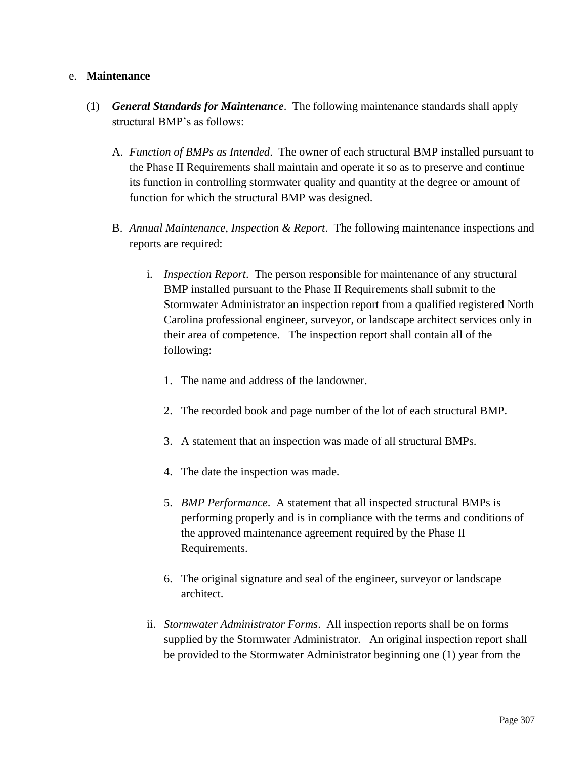### e. **Maintenance**

- (1) *General Standards for Maintenance*. The following maintenance standards shall apply structural BMP's as follows:
	- A. *Function of BMPs as Intended*. The owner of each structural BMP installed pursuant to the Phase II Requirements shall maintain and operate it so as to preserve and continue its function in controlling stormwater quality and quantity at the degree or amount of function for which the structural BMP was designed.
	- B. *Annual Maintenance, Inspection & Report*. The following maintenance inspections and reports are required:
		- i. *Inspection Report*. The person responsible for maintenance of any structural BMP installed pursuant to the Phase II Requirements shall submit to the Stormwater Administrator an inspection report from a qualified registered North Carolina professional engineer, surveyor, or landscape architect services only in their area of competence. The inspection report shall contain all of the following:
			- 1. The name and address of the landowner.
			- 2. The recorded book and page number of the lot of each structural BMP.
			- 3. A statement that an inspection was made of all structural BMPs.
			- 4. The date the inspection was made.
			- 5. *BMP Performance*. A statement that all inspected structural BMPs is performing properly and is in compliance with the terms and conditions of the approved maintenance agreement required by the Phase II Requirements.
			- 6. The original signature and seal of the engineer, surveyor or landscape architect.
		- ii. *Stormwater Administrator Forms*. All inspection reports shall be on forms supplied by the Stormwater Administrator. An original inspection report shall be provided to the Stormwater Administrator beginning one (1) year from the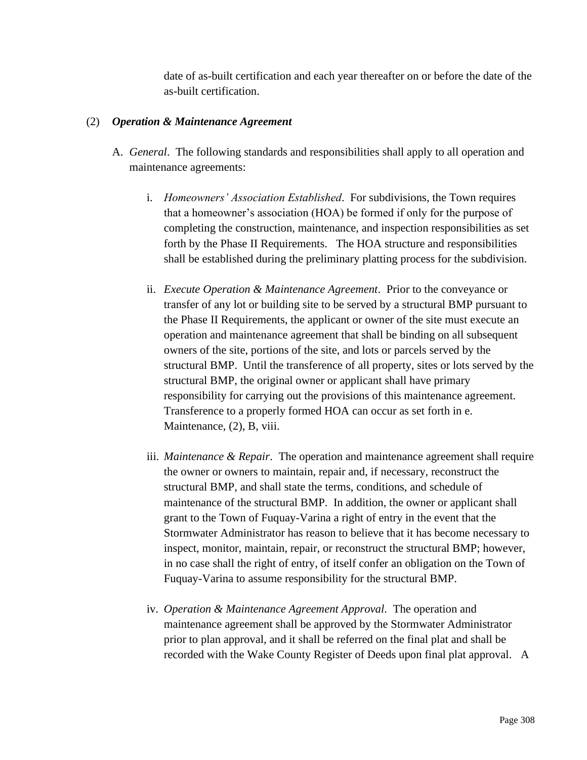date of as-built certification and each year thereafter on or before the date of the as-built certification.

### (2) *Operation & Maintenance Agreement*

- A. *General*. The following standards and responsibilities shall apply to all operation and maintenance agreements:
	- i. *Homeowners' Association Established*. For subdivisions, the Town requires that a homeowner's association (HOA) be formed if only for the purpose of completing the construction, maintenance, and inspection responsibilities as set forth by the Phase II Requirements. The HOA structure and responsibilities shall be established during the preliminary platting process for the subdivision.
	- ii. *Execute Operation & Maintenance Agreement*. Prior to the conveyance or transfer of any lot or building site to be served by a structural BMP pursuant to the Phase II Requirements, the applicant or owner of the site must execute an operation and maintenance agreement that shall be binding on all subsequent owners of the site, portions of the site, and lots or parcels served by the structural BMP. Until the transference of all property, sites or lots served by the structural BMP, the original owner or applicant shall have primary responsibility for carrying out the provisions of this maintenance agreement. Transference to a properly formed HOA can occur as set forth in e. Maintenance, (2), B, viii.
	- iii. *Maintenance & Repair*. The operation and maintenance agreement shall require the owner or owners to maintain, repair and, if necessary, reconstruct the structural BMP, and shall state the terms, conditions, and schedule of maintenance of the structural BMP. In addition, the owner or applicant shall grant to the Town of Fuquay-Varina a right of entry in the event that the Stormwater Administrator has reason to believe that it has become necessary to inspect, monitor, maintain, repair, or reconstruct the structural BMP; however, in no case shall the right of entry, of itself confer an obligation on the Town of Fuquay-Varina to assume responsibility for the structural BMP.
	- iv. *Operation & Maintenance Agreement Approval*. The operation and maintenance agreement shall be approved by the Stormwater Administrator prior to plan approval, and it shall be referred on the final plat and shall be recorded with the Wake County Register of Deeds upon final plat approval. A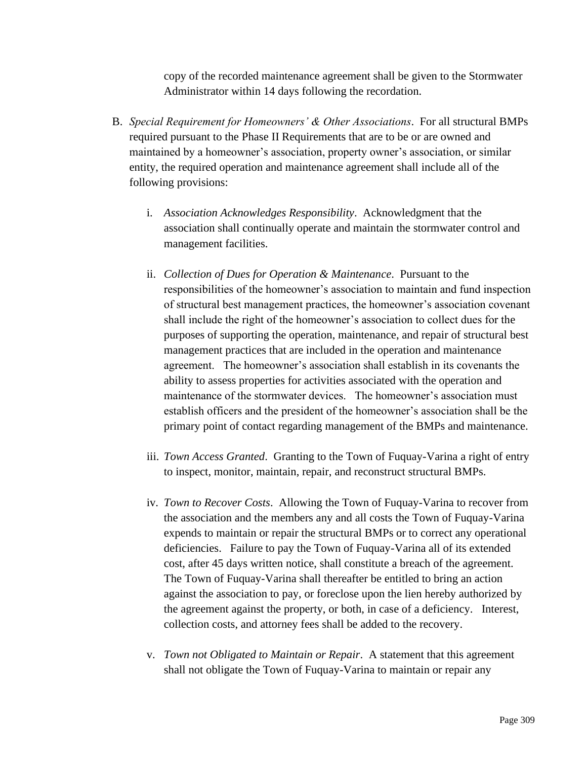copy of the recorded maintenance agreement shall be given to the Stormwater Administrator within 14 days following the recordation.

- B. *Special Requirement for Homeowners' & Other Associations*. For all structural BMPs required pursuant to the Phase II Requirements that are to be or are owned and maintained by a homeowner's association, property owner's association, or similar entity, the required operation and maintenance agreement shall include all of the following provisions:
	- i. *Association Acknowledges Responsibility*. Acknowledgment that the association shall continually operate and maintain the stormwater control and management facilities.
	- ii. *Collection of Dues for Operation & Maintenance*. Pursuant to the responsibilities of the homeowner's association to maintain and fund inspection of structural best management practices, the homeowner's association covenant shall include the right of the homeowner's association to collect dues for the purposes of supporting the operation, maintenance, and repair of structural best management practices that are included in the operation and maintenance agreement. The homeowner's association shall establish in its covenants the ability to assess properties for activities associated with the operation and maintenance of the stormwater devices. The homeowner's association must establish officers and the president of the homeowner's association shall be the primary point of contact regarding management of the BMPs and maintenance.
	- iii. *Town Access Granted*. Granting to the Town of Fuquay-Varina a right of entry to inspect, monitor, maintain, repair, and reconstruct structural BMPs.
	- iv. *Town to Recover Costs*. Allowing the Town of Fuquay-Varina to recover from the association and the members any and all costs the Town of Fuquay-Varina expends to maintain or repair the structural BMPs or to correct any operational deficiencies. Failure to pay the Town of Fuquay-Varina all of its extended cost, after 45 days written notice, shall constitute a breach of the agreement. The Town of Fuquay-Varina shall thereafter be entitled to bring an action against the association to pay, or foreclose upon the lien hereby authorized by the agreement against the property, or both, in case of a deficiency. Interest, collection costs, and attorney fees shall be added to the recovery.
	- v. *Town not Obligated to Maintain or Repair*. A statement that this agreement shall not obligate the Town of Fuquay-Varina to maintain or repair any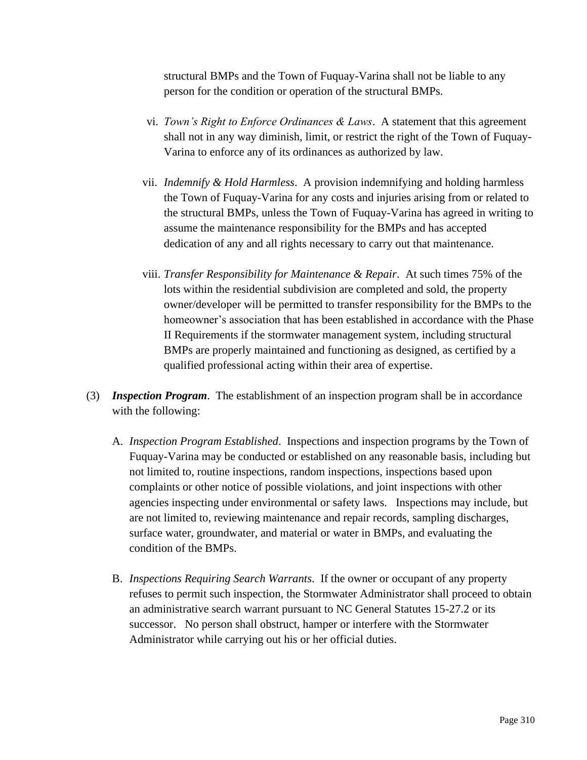structural BMPs and the Town of Fuquay-Varina shall not be liable to any person for the condition or operation of the structural BMPs.

- vi. *Town's Right to Enforce Ordinances & Laws*. A statement that this agreement shall not in any way diminish, limit, or restrict the right of the Town of Fuquay-Varina to enforce any of its ordinances as authorized by law.
- vii. *Indemnify & Hold Harmless*. A provision indemnifying and holding harmless the Town of Fuquay-Varina for any costs and injuries arising from or related to the structural BMPs, unless the Town of Fuquay-Varina has agreed in writing to assume the maintenance responsibility for the BMPs and has accepted dedication of any and all rights necessary to carry out that maintenance.
- viii. *Transfer Responsibility for Maintenance & Repair*. At such times 75% of the lots within the residential subdivision are completed and sold, the property owner/developer will be permitted to transfer responsibility for the BMPs to the homeowner's association that has been established in accordance with the Phase II Requirements if the stormwater management system, including structural BMPs are properly maintained and functioning as designed, as certified by a qualified professional acting within their area of expertise.
- (3) *Inspection Program*. The establishment of an inspection program shall be in accordance with the following:
	- A. *Inspection Program Established*. Inspections and inspection programs by the Town of Fuquay-Varina may be conducted or established on any reasonable basis, including but not limited to, routine inspections, random inspections, inspections based upon complaints or other notice of possible violations, and joint inspections with other agencies inspecting under environmental or safety laws. Inspections may include, but are not limited to, reviewing maintenance and repair records, sampling discharges, surface water, groundwater, and material or water in BMPs, and evaluating the condition of the BMPs.
	- B. *Inspections Requiring Search Warrants*. If the owner or occupant of any property refuses to permit such inspection, the Stormwater Administrator shall proceed to obtain an administrative search warrant pursuant to NC General Statutes 15-27.2 or its successor. No person shall obstruct, hamper or interfere with the Stormwater Administrator while carrying out his or her official duties.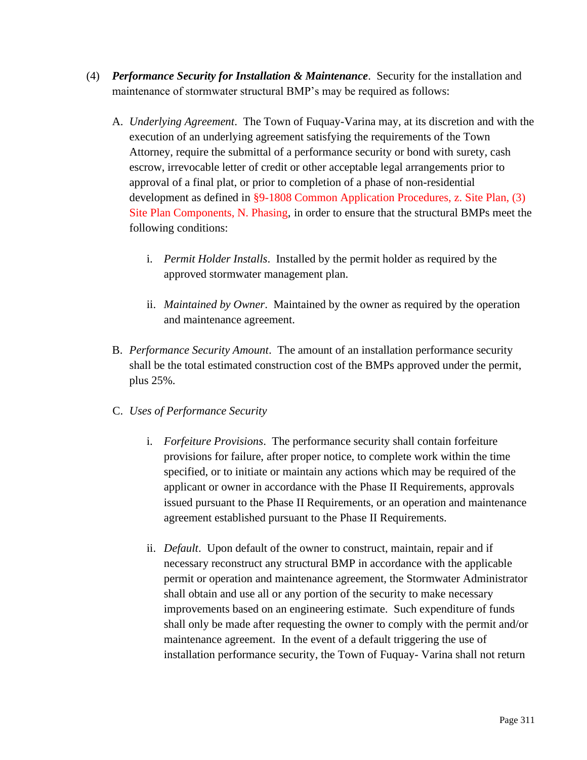- (4) *Performance Security for Installation & Maintenance*. Security for the installation and maintenance of stormwater structural BMP's may be required as follows:
	- A. *Underlying Agreement*. The Town of Fuquay-Varina may, at its discretion and with the execution of an underlying agreement satisfying the requirements of the Town Attorney, require the submittal of a performance security or bond with surety, cash escrow, irrevocable letter of credit or other acceptable legal arrangements prior to approval of a final plat, or prior to completion of a phase of non-residential development as defined in §9-1808 Common Application Procedures, z. Site Plan, (3) Site Plan Components, N. Phasing, in order to ensure that the structural BMPs meet the following conditions:
		- i. *Permit Holder Installs*. Installed by the permit holder as required by the approved stormwater management plan.
		- ii. *Maintained by Owner*. Maintained by the owner as required by the operation and maintenance agreement.
	- B. *Performance Security Amount*. The amount of an installation performance security shall be the total estimated construction cost of the BMPs approved under the permit, plus 25%.
	- C. *Uses of Performance Security*
		- i. *Forfeiture Provisions*. The performance security shall contain forfeiture provisions for failure, after proper notice, to complete work within the time specified, or to initiate or maintain any actions which may be required of the applicant or owner in accordance with the Phase II Requirements, approvals issued pursuant to the Phase II Requirements, or an operation and maintenance agreement established pursuant to the Phase II Requirements.
		- ii. *Default*. Upon default of the owner to construct, maintain, repair and if necessary reconstruct any structural BMP in accordance with the applicable permit or operation and maintenance agreement, the Stormwater Administrator shall obtain and use all or any portion of the security to make necessary improvements based on an engineering estimate. Such expenditure of funds shall only be made after requesting the owner to comply with the permit and/or maintenance agreement. In the event of a default triggering the use of installation performance security, the Town of Fuquay- Varina shall not return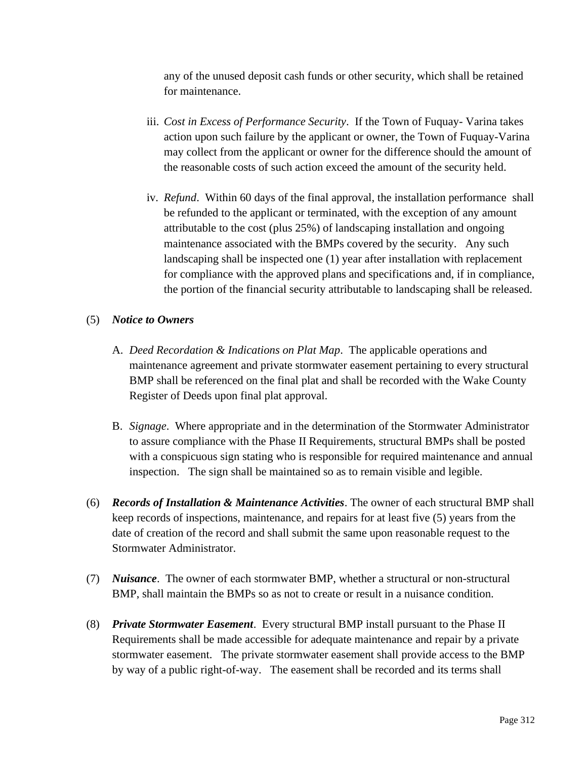any of the unused deposit cash funds or other security, which shall be retained for maintenance.

- iii. *Cost in Excess of Performance Security*. If the Town of Fuquay- Varina takes action upon such failure by the applicant or owner, the Town of Fuquay-Varina may collect from the applicant or owner for the difference should the amount of the reasonable costs of such action exceed the amount of the security held.
- iv. *Refund*. Within 60 days of the final approval, the installation performance shall be refunded to the applicant or terminated, with the exception of any amount attributable to the cost (plus 25%) of landscaping installation and ongoing maintenance associated with the BMPs covered by the security. Any such landscaping shall be inspected one (1) year after installation with replacement for compliance with the approved plans and specifications and, if in compliance, the portion of the financial security attributable to landscaping shall be released.

## (5) *Notice to Owners*

- A. *Deed Recordation & Indications on Plat Map*. The applicable operations and maintenance agreement and private stormwater easement pertaining to every structural BMP shall be referenced on the final plat and shall be recorded with the Wake County Register of Deeds upon final plat approval.
- B. *Signage*. Where appropriate and in the determination of the Stormwater Administrator to assure compliance with the Phase II Requirements, structural BMPs shall be posted with a conspicuous sign stating who is responsible for required maintenance and annual inspection. The sign shall be maintained so as to remain visible and legible.
- (6) *Records of Installation & Maintenance Activities*. The owner of each structural BMP shall keep records of inspections, maintenance, and repairs for at least five (5) years from the date of creation of the record and shall submit the same upon reasonable request to the Stormwater Administrator.
- (7) *Nuisance*. The owner of each stormwater BMP, whether a structural or non-structural BMP, shall maintain the BMPs so as not to create or result in a nuisance condition.
- (8) *Private Stormwater Easement*. Every structural BMP install pursuant to the Phase II Requirements shall be made accessible for adequate maintenance and repair by a private stormwater easement. The private stormwater easement shall provide access to the BMP by way of a public right-of-way. The easement shall be recorded and its terms shall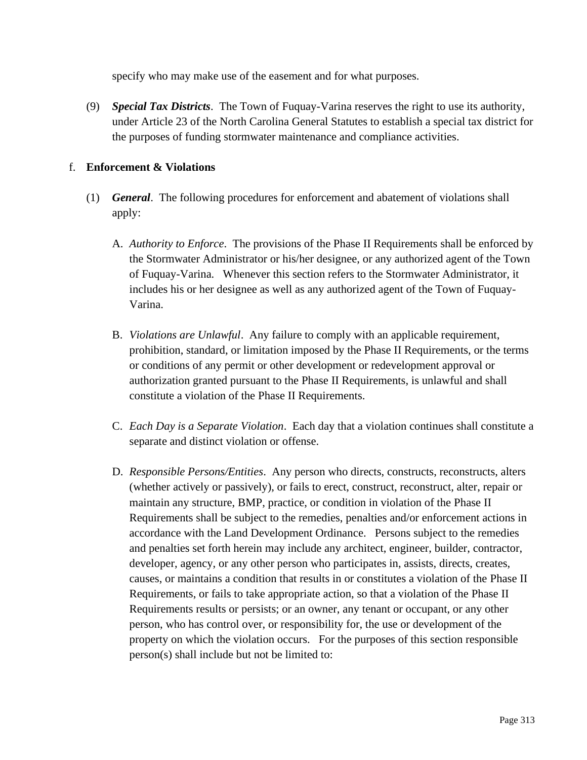specify who may make use of the easement and for what purposes.

(9) *Special Tax Districts*. The Town of Fuquay-Varina reserves the right to use its authority, under Article 23 of the North Carolina General Statutes to establish a special tax district for the purposes of funding stormwater maintenance and compliance activities.

## f. **Enforcement & Violations**

- (1) *General*. The following procedures for enforcement and abatement of violations shall apply:
	- A. *Authority to Enforce*. The provisions of the Phase II Requirements shall be enforced by the Stormwater Administrator or his/her designee, or any authorized agent of the Town of Fuquay-Varina. Whenever this section refers to the Stormwater Administrator, it includes his or her designee as well as any authorized agent of the Town of Fuquay-Varina.
	- B. *Violations are Unlawful*. Any failure to comply with an applicable requirement, prohibition, standard, or limitation imposed by the Phase II Requirements, or the terms or conditions of any permit or other development or redevelopment approval or authorization granted pursuant to the Phase II Requirements, is unlawful and shall constitute a violation of the Phase II Requirements.
	- C. *Each Day is a Separate Violation*. Each day that a violation continues shall constitute a separate and distinct violation or offense.
	- D. *Responsible Persons/Entities*. Any person who directs, constructs, reconstructs, alters (whether actively or passively), or fails to erect, construct, reconstruct, alter, repair or maintain any structure, BMP, practice, or condition in violation of the Phase II Requirements shall be subject to the remedies, penalties and/or enforcement actions in accordance with the Land Development Ordinance. Persons subject to the remedies and penalties set forth herein may include any architect, engineer, builder, contractor, developer, agency, or any other person who participates in, assists, directs, creates, causes, or maintains a condition that results in or constitutes a violation of the Phase II Requirements, or fails to take appropriate action, so that a violation of the Phase II Requirements results or persists; or an owner, any tenant or occupant, or any other person, who has control over, or responsibility for, the use or development of the property on which the violation occurs. For the purposes of this section responsible person(s) shall include but not be limited to: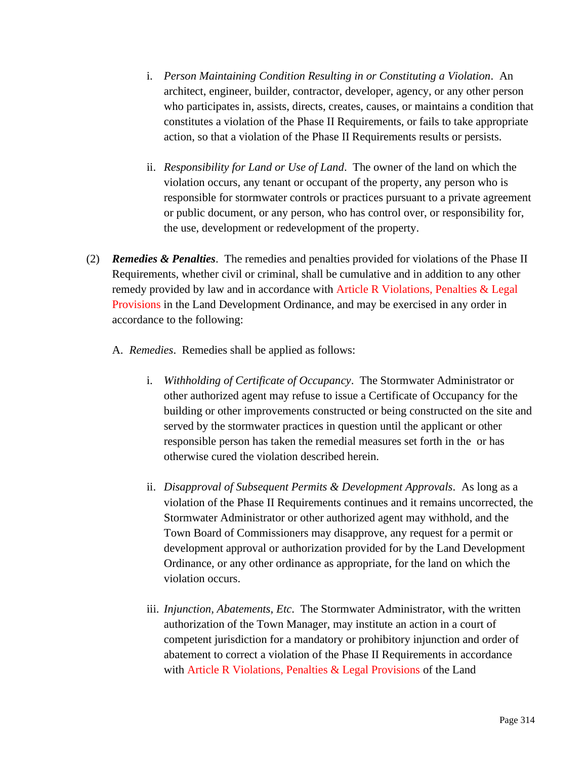- i. *Person Maintaining Condition Resulting in or Constituting a Violation*. An architect, engineer, builder, contractor, developer, agency, or any other person who participates in, assists, directs, creates, causes, or maintains a condition that constitutes a violation of the Phase II Requirements, or fails to take appropriate action, so that a violation of the Phase II Requirements results or persists.
- ii. *Responsibility for Land or Use of Land*. The owner of the land on which the violation occurs, any tenant or occupant of the property, any person who is responsible for stormwater controls or practices pursuant to a private agreement or public document, or any person, who has control over, or responsibility for, the use, development or redevelopment of the property.
- (2) *Remedies & Penalties*. The remedies and penalties provided for violations of the Phase II Requirements, whether civil or criminal, shall be cumulative and in addition to any other remedy provided by law and in accordance with Article R Violations, Penalties & Legal Provisions in the Land Development Ordinance, and may be exercised in any order in accordance to the following:
	- A. *Remedies*. Remedies shall be applied as follows:
		- i. *Withholding of Certificate of Occupancy*. The Stormwater Administrator or other authorized agent may refuse to issue a Certificate of Occupancy for the building or other improvements constructed or being constructed on the site and served by the stormwater practices in question until the applicant or other responsible person has taken the remedial measures set forth in the or has otherwise cured the violation described herein.
		- ii. *Disapproval of Subsequent Permits & Development Approvals*. As long as a violation of the Phase II Requirements continues and it remains uncorrected, the Stormwater Administrator or other authorized agent may withhold, and the Town Board of Commissioners may disapprove, any request for a permit or development approval or authorization provided for by the Land Development Ordinance, or any other ordinance as appropriate, for the land on which the violation occurs.
		- iii. *Injunction, Abatements, Etc*. The Stormwater Administrator, with the written authorization of the Town Manager, may institute an action in a court of competent jurisdiction for a mandatory or prohibitory injunction and order of abatement to correct a violation of the Phase II Requirements in accordance with Article R Violations, Penalties & Legal Provisions of the Land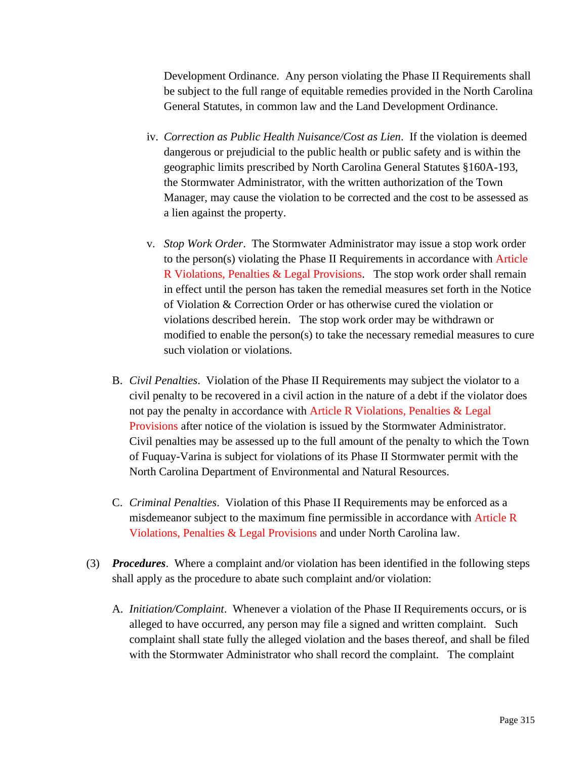Development Ordinance. Any person violating the Phase II Requirements shall be subject to the full range of equitable remedies provided in the North Carolina General Statutes, in common law and the Land Development Ordinance.

- iv. *Correction as Public Health Nuisance/Cost as Lien*. If the violation is deemed dangerous or prejudicial to the public health or public safety and is within the geographic limits prescribed by North Carolina General Statutes §160A-193, the Stormwater Administrator, with the written authorization of the Town Manager, may cause the violation to be corrected and the cost to be assessed as a lien against the property.
- v. *Stop Work Order*. The Stormwater Administrator may issue a stop work order to the person(s) violating the Phase II Requirements in accordance with Article R Violations, Penalties & Legal Provisions. The stop work order shall remain in effect until the person has taken the remedial measures set forth in the Notice of Violation & Correction Order or has otherwise cured the violation or violations described herein. The stop work order may be withdrawn or modified to enable the person(s) to take the necessary remedial measures to cure such violation or violations.
- B. *Civil Penalties*. Violation of the Phase II Requirements may subject the violator to a civil penalty to be recovered in a civil action in the nature of a debt if the violator does not pay the penalty in accordance with Article R Violations, Penalties & Legal Provisions after notice of the violation is issued by the Stormwater Administrator. Civil penalties may be assessed up to the full amount of the penalty to which the Town of Fuquay-Varina is subject for violations of its Phase II Stormwater permit with the North Carolina Department of Environmental and Natural Resources.
- C. *Criminal Penalties*. Violation of this Phase II Requirements may be enforced as a misdemeanor subject to the maximum fine permissible in accordance with Article R Violations, Penalties & Legal Provisions and under North Carolina law.
- (3) *Procedures*. Where a complaint and/or violation has been identified in the following steps shall apply as the procedure to abate such complaint and/or violation:
	- A. *Initiation/Complaint*. Whenever a violation of the Phase II Requirements occurs, or is alleged to have occurred, any person may file a signed and written complaint. Such complaint shall state fully the alleged violation and the bases thereof, and shall be filed with the Stormwater Administrator who shall record the complaint. The complaint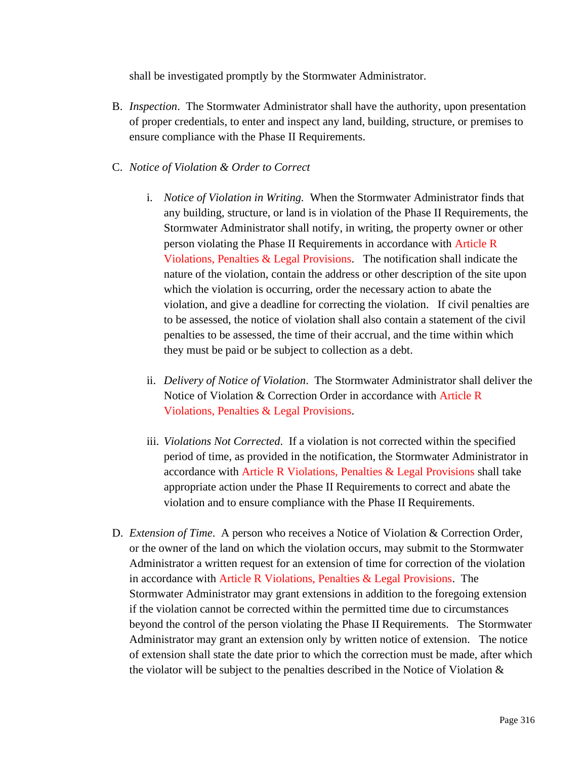shall be investigated promptly by the Stormwater Administrator.

B. *Inspection*. The Stormwater Administrator shall have the authority, upon presentation of proper credentials, to enter and inspect any land, building, structure, or premises to ensure compliance with the Phase II Requirements.

## C. *Notice of Violation & Order to Correct*

- i. *Notice of Violation in Writing.* When the Stormwater Administrator finds that any building, structure, or land is in violation of the Phase II Requirements, the Stormwater Administrator shall notify, in writing, the property owner or other person violating the Phase II Requirements in accordance with Article R Violations, Penalties & Legal Provisions. The notification shall indicate the nature of the violation, contain the address or other description of the site upon which the violation is occurring, order the necessary action to abate the violation, and give a deadline for correcting the violation. If civil penalties are to be assessed, the notice of violation shall also contain a statement of the civil penalties to be assessed, the time of their accrual, and the time within which they must be paid or be subject to collection as a debt.
- ii. *Delivery of Notice of Violation*. The Stormwater Administrator shall deliver the Notice of Violation & Correction Order in accordance with Article R Violations, Penalties & Legal Provisions.
- iii. *Violations Not Corrected*. If a violation is not corrected within the specified period of time, as provided in the notification, the Stormwater Administrator in accordance with Article R Violations, Penalties & Legal Provisions shall take appropriate action under the Phase II Requirements to correct and abate the violation and to ensure compliance with the Phase II Requirements.
- D. *Extension of Time*. A person who receives a Notice of Violation & Correction Order, or the owner of the land on which the violation occurs, may submit to the Stormwater Administrator a written request for an extension of time for correction of the violation in accordance with Article R Violations, Penalties & Legal Provisions. The Stormwater Administrator may grant extensions in addition to the foregoing extension if the violation cannot be corrected within the permitted time due to circumstances beyond the control of the person violating the Phase II Requirements. The Stormwater Administrator may grant an extension only by written notice of extension. The notice of extension shall state the date prior to which the correction must be made, after which the violator will be subject to the penalties described in the Notice of Violation &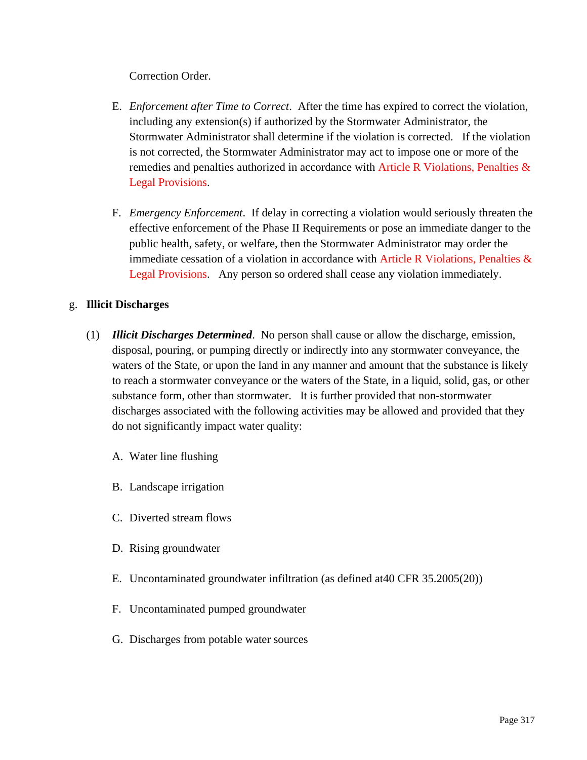Correction Order.

- E. *Enforcement after Time to Correct*. After the time has expired to correct the violation, including any extension(s) if authorized by the Stormwater Administrator, the Stormwater Administrator shall determine if the violation is corrected. If the violation is not corrected, the Stormwater Administrator may act to impose one or more of the remedies and penalties authorized in accordance with Article R Violations, Penalties & Legal Provisions.
- F. *Emergency Enforcement*. If delay in correcting a violation would seriously threaten the effective enforcement of the Phase II Requirements or pose an immediate danger to the public health, safety, or welfare, then the Stormwater Administrator may order the immediate cessation of a violation in accordance with Article R Violations, Penalties & Legal Provisions. Any person so ordered shall cease any violation immediately.

# g. **Illicit Discharges**

- (1) *Illicit Discharges Determined*. No person shall cause or allow the discharge, emission, disposal, pouring, or pumping directly or indirectly into any stormwater conveyance, the waters of the State, or upon the land in any manner and amount that the substance is likely to reach a stormwater conveyance or the waters of the State, in a liquid, solid, gas, or other substance form, other than stormwater. It is further provided that non-stormwater discharges associated with the following activities may be allowed and provided that they do not significantly impact water quality:
	- A. Water line flushing
	- B. Landscape irrigation
	- C. Diverted stream flows
	- D. Rising groundwater
	- E. Uncontaminated groundwater infiltration (as defined at40 CFR 35.2005(20))
	- F. Uncontaminated pumped groundwater
	- G. Discharges from potable water sources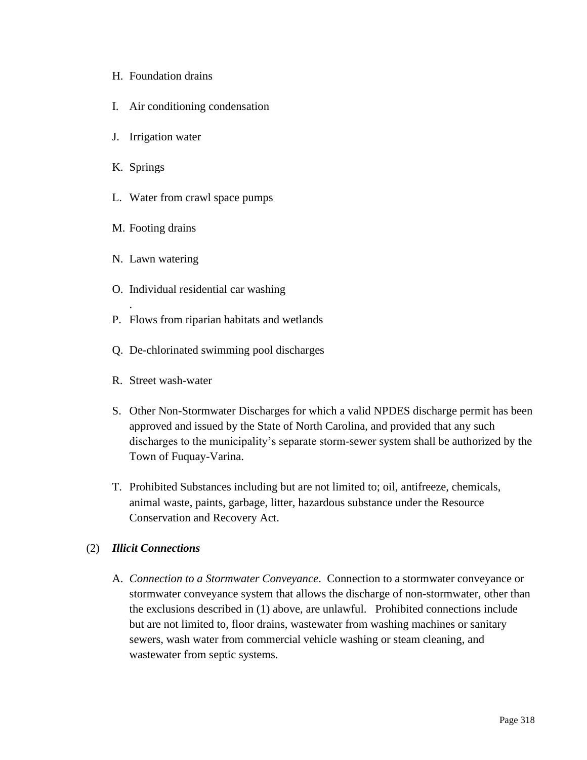- H. Foundation drains
- I. Air conditioning condensation
- J. Irrigation water
- K. Springs
- L. Water from crawl space pumps
- M. Footing drains
- N. Lawn watering

.

- O. Individual residential car washing
- P. Flows from riparian habitats and wetlands
- Q. De-chlorinated swimming pool discharges
- R. Street wash-water
- S. Other Non-Stormwater Discharges for which a valid NPDES discharge permit has been approved and issued by the State of North Carolina, and provided that any such discharges to the municipality's separate storm-sewer system shall be authorized by the Town of Fuquay-Varina.
- T. Prohibited Substances including but are not limited to; oil, antifreeze, chemicals, animal waste, paints, garbage, litter, hazardous substance under the Resource Conservation and Recovery Act.

## (2) *Illicit Connections*

A. *Connection to a Stormwater Conveyance*. Connection to a stormwater conveyance or stormwater conveyance system that allows the discharge of non-stormwater, other than the exclusions described in (1) above, are unlawful. Prohibited connections include but are not limited to, floor drains, wastewater from washing machines or sanitary sewers, wash water from commercial vehicle washing or steam cleaning, and wastewater from septic systems.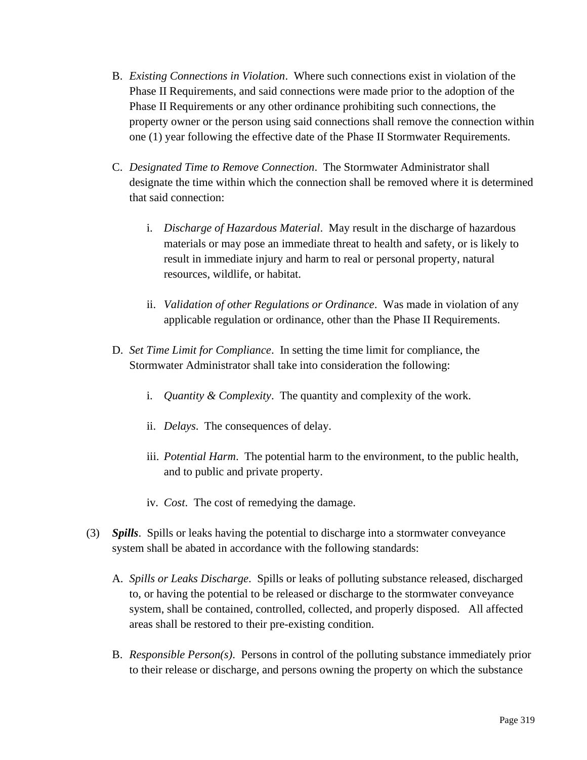- B. *Existing Connections in Violation*. Where such connections exist in violation of the Phase II Requirements, and said connections were made prior to the adoption of the Phase II Requirements or any other ordinance prohibiting such connections, the property owner or the person using said connections shall remove the connection within one (1) year following the effective date of the Phase II Stormwater Requirements.
- C. *Designated Time to Remove Connection*. The Stormwater Administrator shall designate the time within which the connection shall be removed where it is determined that said connection:
	- i. *Discharge of Hazardous Material*. May result in the discharge of hazardous materials or may pose an immediate threat to health and safety, or is likely to result in immediate injury and harm to real or personal property, natural resources, wildlife, or habitat.
	- ii. *Validation of other Regulations or Ordinance*. Was made in violation of any applicable regulation or ordinance, other than the Phase II Requirements.
- D. *Set Time Limit for Compliance*. In setting the time limit for compliance, the Stormwater Administrator shall take into consideration the following:
	- i. *Quantity & Complexity*. The quantity and complexity of the work.
	- ii. *Delays*. The consequences of delay.
	- iii. *Potential Harm*. The potential harm to the environment, to the public health, and to public and private property.
	- iv. *Cost*. The cost of remedying the damage.
- (3) *Spills*. Spills or leaks having the potential to discharge into a stormwater conveyance system shall be abated in accordance with the following standards:
	- A. *Spills or Leaks Discharge*. Spills or leaks of polluting substance released, discharged to, or having the potential to be released or discharge to the stormwater conveyance system, shall be contained, controlled, collected, and properly disposed. All affected areas shall be restored to their pre-existing condition.
	- B. *Responsible Person(s)*. Persons in control of the polluting substance immediately prior to their release or discharge, and persons owning the property on which the substance